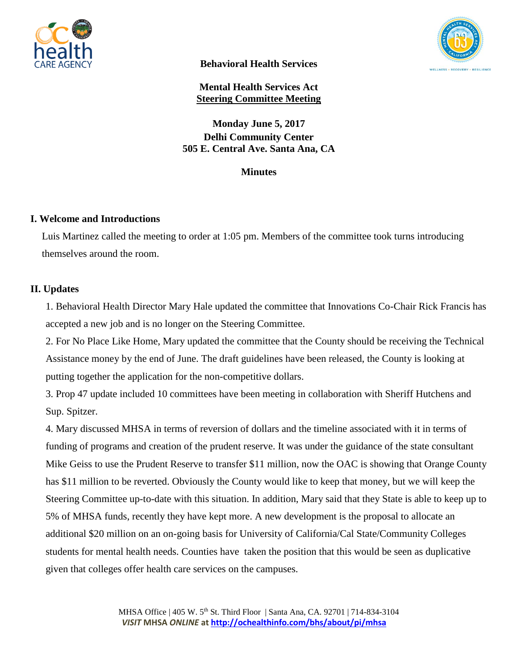



**Behavioral Health Services**

**Mental Health Services Act Steering Committee Meeting**

**Monday June 5, 2017 Delhi Community Center 505 E. Central Ave. Santa Ana, CA** 

**Minutes**

# **I. Welcome and Introductions**

Luis Martinez called the meeting to order at 1:05 pm. Members of the committee took turns introducing themselves around the room.

# **II. Updates**

1. Behavioral Health Director Mary Hale updated the committee that Innovations Co-Chair Rick Francis has accepted a new job and is no longer on the Steering Committee.

2. For No Place Like Home, Mary updated the committee that the County should be receiving the Technical Assistance money by the end of June. The draft guidelines have been released, the County is looking at putting together the application for the non-competitive dollars.

3. Prop 47 update included 10 committees have been meeting in collaboration with Sheriff Hutchens and Sup. Spitzer.

4. Mary discussed MHSA in terms of reversion of dollars and the timeline associated with it in terms of funding of programs and creation of the prudent reserve. It was under the guidance of the state consultant Mike Geiss to use the Prudent Reserve to transfer \$11 million, now the OAC is showing that Orange County has \$11 million to be reverted. Obviously the County would like to keep that money, but we will keep the Steering Committee up-to-date with this situation. In addition, Mary said that they State is able to keep up to 5% of MHSA funds, recently they have kept more. A new development is the proposal to allocate an additional \$20 million on an on-going basis for University of California/Cal State/Community Colleges students for mental health needs. Counties have taken the position that this would be seen as duplicative given that colleges offer health care services on the campuses.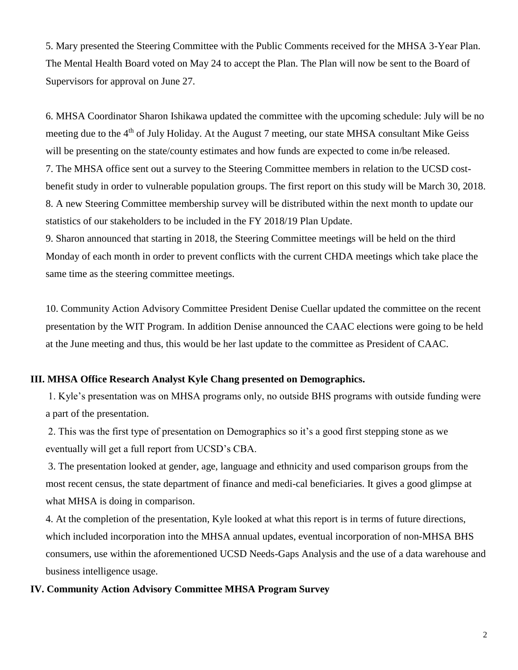5. Mary presented the Steering Committee with the Public Comments received for the MHSA 3-Year Plan. The Mental Health Board voted on May 24 to accept the Plan. The Plan will now be sent to the Board of Supervisors for approval on June 27.

6. MHSA Coordinator Sharon Ishikawa updated the committee with the upcoming schedule: July will be no meeting due to the 4<sup>th</sup> of July Holiday. At the August 7 meeting, our state MHSA consultant Mike Geiss will be presenting on the state/county estimates and how funds are expected to come in/be released. 7. The MHSA office sent out a survey to the Steering Committee members in relation to the UCSD costbenefit study in order to vulnerable population groups. The first report on this study will be March 30, 2018. 8. A new Steering Committee membership survey will be distributed within the next month to update our statistics of our stakeholders to be included in the FY 2018/19 Plan Update.

9. Sharon announced that starting in 2018, the Steering Committee meetings will be held on the third Monday of each month in order to prevent conflicts with the current CHDA meetings which take place the same time as the steering committee meetings.

10. Community Action Advisory Committee President Denise Cuellar updated the committee on the recent presentation by the WIT Program. In addition Denise announced the CAAC elections were going to be held at the June meeting and thus, this would be her last update to the committee as President of CAAC.

## **III. MHSA Office Research Analyst Kyle Chang presented on Demographics.**

1. Kyle's presentation was on MHSA programs only, no outside BHS programs with outside funding were a part of the presentation.

2. This was the first type of presentation on Demographics so it's a good first stepping stone as we eventually will get a full report from UCSD's CBA.

3. The presentation looked at gender, age, language and ethnicity and used comparison groups from the most recent census, the state department of finance and medi-cal beneficiaries. It gives a good glimpse at what MHSA is doing in comparison.

4. At the completion of the presentation, Kyle looked at what this report is in terms of future directions, which included incorporation into the MHSA annual updates, eventual incorporation of non-MHSA BHS consumers, use within the aforementioned UCSD Needs-Gaps Analysis and the use of a data warehouse and business intelligence usage.

## **IV. Community Action Advisory Committee MHSA Program Survey**